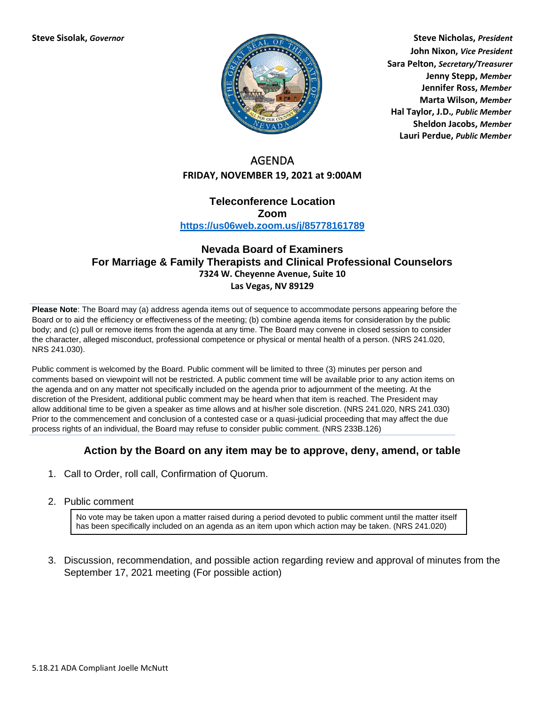

**Steve Sisolak,** *Governor* **Steve Nicholas,** *President* **John Nixon,** *Vice President* **Sara Pelton,** *Secretary/Treasurer* **Jenny Stepp,** *Member* **Jennifer Ross,** *Member* **Marta Wilson,** *Member* **Hal Taylor, J.D.***, Public Member* **Sheldon Jacobs,** *Member* **Lauri Perdue,** *Public Member*

## AGENDA **FRIDAY, NOVEMBER 19, 2021 at 9:00AM**

## **Teleconference Location Zoom <https://us06web.zoom.us/j/85778161789>**

## **Nevada Board of Examiners For Marriage & Family Therapists and Clinical Professional Counselors 7324 W. Cheyenne Avenue, Suite 10 Las Vegas, NV 89129**

**Please Note**: The Board may (a) address agenda items out of sequence to accommodate persons appearing before the Board or to aid the efficiency or effectiveness of the meeting; (b) combine agenda items for consideration by the public body; and (c) pull or remove items from the agenda at any time. The Board may convene in closed session to consider the character, alleged misconduct, professional competence or physical or mental health of a person. (NRS 241.020, NRS 241.030).

Public comment is welcomed by the Board. Public comment will be limited to three (3) minutes per person and comments based on viewpoint will not be restricted. A public comment time will be available prior to any action items on the agenda and on any matter not specifically included on the agenda prior to adjournment of the meeting. At the discretion of the President, additional public comment may be heard when that item is reached. The President may allow additional time to be given a speaker as time allows and at his/her sole discretion. (NRS 241.020, NRS 241.030) Prior to the commencement and conclusion of a contested case or a quasi-judicial proceeding that may affect the due process rights of an individual, the Board may refuse to consider public comment. (NRS 233B.126)

## **Action by the Board on any item may be to approve, deny, amend, or table**

- 1. Call to Order, roll call, Confirmation of Quorum.
- 2. Public comment

No vote may be taken upon a matter raised during a period devoted to public comment until the matter itself has been specifically included on an agenda as an item upon which action may be taken. (NRS 241.020)

3. Discussion, recommendation, and possible action regarding review and approval of minutes from the September 17, 2021 meeting (For possible action)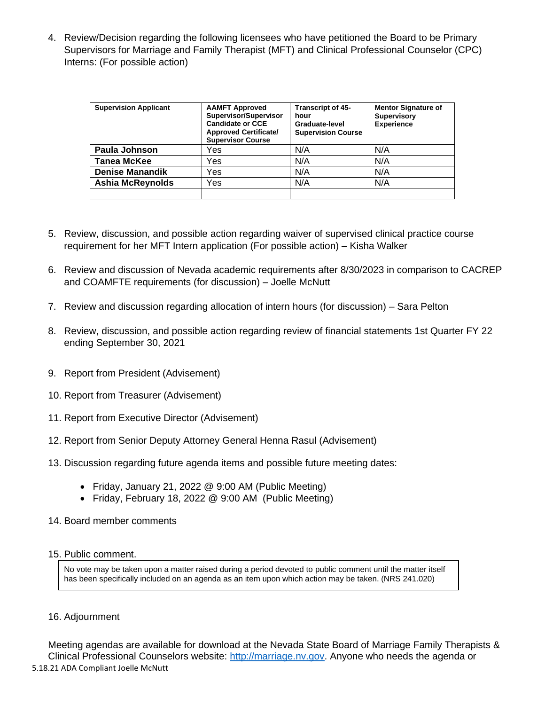4. Review/Decision regarding the following licensees who have petitioned the Board to be Primary Supervisors for Marriage and Family Therapist (MFT) and Clinical Professional Counselor (CPC) Interns: (For possible action)

| <b>Supervision Applicant</b> | <b>AAMFT Approved</b><br>Supervisor/Supervisor<br><b>Candidate or CCE</b><br><b>Approved Certificate/</b><br><b>Supervisor Course</b> | Transcript of 45-<br>hour<br>Graduate-level<br><b>Supervision Course</b> | <b>Mentor Signature of</b><br><b>Supervisory</b><br><b>Experience</b> |
|------------------------------|---------------------------------------------------------------------------------------------------------------------------------------|--------------------------------------------------------------------------|-----------------------------------------------------------------------|
| Paula Johnson                | Yes                                                                                                                                   | N/A                                                                      | N/A                                                                   |
| <b>Tanea McKee</b>           | Yes                                                                                                                                   | N/A                                                                      | N/A                                                                   |
| <b>Denise Manandik</b>       | Yes                                                                                                                                   | N/A                                                                      | N/A                                                                   |
| <b>Ashia McReynolds</b>      | Yes                                                                                                                                   | N/A                                                                      | N/A                                                                   |
|                              |                                                                                                                                       |                                                                          |                                                                       |

- 5. Review, discussion, and possible action regarding waiver of supervised clinical practice course requirement for her MFT Intern application (For possible action) – Kisha Walker
- 6. Review and discussion of Nevada academic requirements after 8/30/2023 in comparison to CACREP and COAMFTE requirements (for discussion) – Joelle McNutt
- 7. Review and discussion regarding allocation of intern hours (for discussion) Sara Pelton
- 8. Review, discussion, and possible action regarding review of financial statements 1st Quarter FY 22 ending September 30, 2021
- 9. Report from President (Advisement)
- 10. Report from Treasurer (Advisement)
- 11. Report from Executive Director (Advisement)
- 12. Report from Senior Deputy Attorney General Henna Rasul (Advisement)
- 13. Discussion regarding future agenda items and possible future meeting dates:
	- Friday, January 21, 2022 @ 9:00 AM (Public Meeting)
	- Friday, February 18, 2022 @ 9:00 AM (Public Meeting)
- 14. Board member comments
- 15. Public comment.

No vote may be taken upon a matter raised during a period devoted to public comment until the matter itself has been specifically included on an agenda as an item upon which action may be taken. (NRS 241.020)

16. Adjournment

5.18.21 ADA Compliant Joelle McNutt Meeting agendas are available for download at the Nevada State Board of Marriage Family Therapists & Clinical Professional Counselors website: [http://marriage.nv.gov.](http://marriage.nv.gov/) Anyone who needs the agenda or